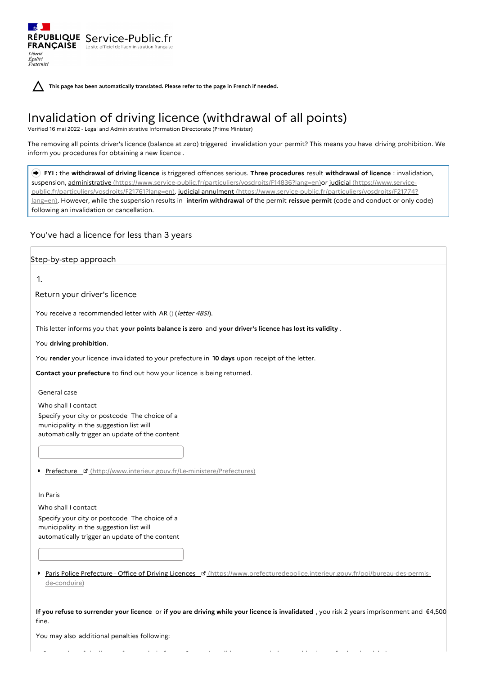| $\rightarrow$                    |                                                                               |
|----------------------------------|-------------------------------------------------------------------------------|
| <b>FRANÇAISE</b>                 | RÉPUBLIQUE Service-Public.fr<br>Le site officiel de l'administration français |
| Liberté<br>Égalité<br>Fraternité |                                                                               |

**This page has been automatically translated. Please refer to the page in French if needed.**

# Invalidation of driving licence (withdrawal of all points)

Verified 16 mai 2022 - Legal and Administrative Information Directorate (Prime Minister)

The removing all points driver's licence (balance at zero) triggered invalidation your permit? This means you have driving prohibition. We inform you procedures for obtaining a new licence .

 **FYI :** the **withdrawal of driving licence** is triggered offences serious. **Three procedures** result **withdrawal of licence** : invalidation, suspension, administrative [\(https://www.service-public.fr/particuliers/vosdroits/F14836?lang=en\)or](https://www.service-public.fr/particuliers/vosdroits/F21761?lang=en) judicial (https://www.servicepublic.fr/particuliers/vosdroits/F21761?lang=en), judicial annulment [\(https://www.service-public.fr/particuliers/vosdroits/F21774?](https://www.service-public.fr/particuliers/vosdroits/F21774?lang=en) lang=en). However, while the suspension results in **interim withdrawal** of the permit **reissue permit** (code and conduct or only code) following an invalidation or cancellation.

You've had a licence for less than 3 years

## Step-by-step approach

1.

Return your driver's licence

You receive a recommended letter with AR () (letter 48SI).

This letter informs you that **your points balance is zero** and **your driver's licence has lost its validity** .

You **driving prohibition**.

You **render** your licence invalidated to your prefecture in **10 days** upon receipt of the letter.

**Contact your prefecture** to find out how your licence is being returned.

General case

Who shall I contact

Specify your city or postcode The choice of a municipality in the suggestion list will automatically trigger an update of the content

Prefecture **E** [\(http://www.interieur.gouv.fr/Le-ministere/Prefectures\)](http://www.interieur.gouv.fr/Le-ministere/Prefectures)

In Paris

Who shall I contact Specify your city or postcode The choice of a municipality in the suggestion list will automatically trigger an update of the content

Paris Police Prefecture - Office of Driving Licences **E** [\(https://www.prefecturedepolice.interieur.gouv.fr/poi/bureau-des-permis](https://www.prefecturedepolice.interieur.gouv.fr/poi/bureau-des-permis-de-conduire)de-conduire)

If you refuse to surrender your licence or if you are driving while your licence is invalidated, you risk 2 years imprisonment and  $64,500$ fine.

Suspension of the licence for a period of up to 3 years (possible accommodation outside the professional activity)

You may also additional penalties following: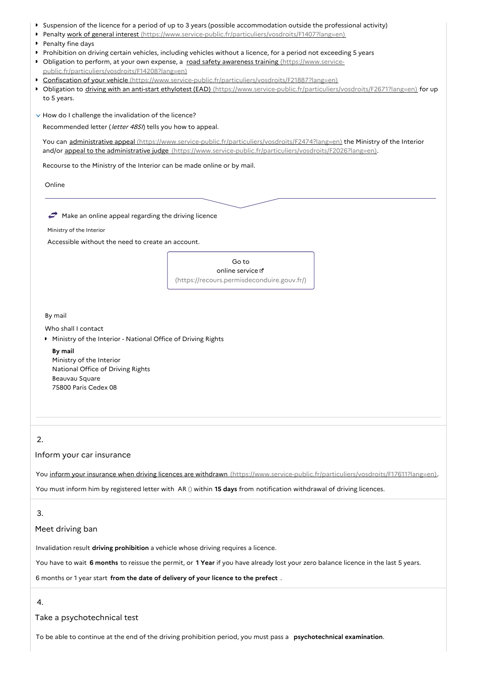- Suspension of the licence for a period of up to 3 years (possible accommodation outside the professional activity)
- Penalty work of general interest [\(https://www.service-public.fr/particuliers/vosdroits/F1407?lang=en\)](https://www.service-public.fr/particuliers/vosdroits/F1407?lang=en)
- **Penalty fine days**
- Prohibition on driving certain vehicles, including vehicles without a licence, for a period not exceeding 5 years
- Obligation to perform, at your own expense, a road safety awareness training (https://www.service-
- [public.fr/particuliers/vosdroits/F14208?lang=en\)](https://www.service-public.fr/particuliers/vosdroits/F14208?lang=en) Confiscation of your vehicle [\(https://www.service-public.fr/particuliers/vosdroits/F21887?lang=en\)](https://www.service-public.fr/particuliers/vosdroits/F21887?lang=en)
- ▶ Obligation to driving with an anti-start ethylotest (EAD) [\(https://www.service-public.fr/particuliers/vosdroits/F2671?lang=en\)](https://www.service-public.fr/particuliers/vosdroits/F2671?lang=en) for up to 5 years.
- $\vee$  How do I challenge the invalidation of the licence?

Recommended letter (letter 48SI) tells you how to appeal.

You can administrative appeal [\(https://www.service-public.fr/particuliers/vosdroits/F2474?lang=en\)](https://www.service-public.fr/particuliers/vosdroits/F2474?lang=en) the Ministry of the Interior and/or appeal to the administrative judge [\(https://www.service-public.fr/particuliers/vosdroits/F2026?lang=en\)](https://www.service-public.fr/particuliers/vosdroits/F2026?lang=en).

Recourse to the Ministry of the Interior can be made online or by mail.

Online

 $\rightarrow$  Make an online appeal regarding the driving licence

Ministry of the Interior

Accessible without the need to create an account.

Go to online service [\(https://recours.permisdeconduire.gouv.fr/\)](https://recours.permisdeconduire.gouv.fr/)

By mail

Who shall I contact

**Ministry of the Interior - National Office of Driving Rights** 

**By mail** Ministry of the Interior National Office of Driving Rights Beauvau Square 75800 Paris Cedex 08

## 2.

Inform your car insurance

You inform your insurance when driving licences are withdrawn [\(https://www.service-public.fr/particuliers/vosdroits/F17611?lang=en\)](https://www.service-public.fr/particuliers/vosdroits/F17611?lang=en).

You must inform him by registered letter with AR () within **15 days** from notification withdrawal of driving licences.

## 3.

## Meet driving ban

Invalidation result **driving prohibition** a vehicle whose driving requires a licence.

You have to wait **6 months** to reissue the permit, or **1 Year** if you have already lost your zero balance licence in the last 5 years.

6 months or 1 year start **from the date of delivery of your licence to the prefect** .

4.

## Take a psychotechnical test

To be able to continue at the end of the driving prohibition period, you must pass a **psychotechnical examination**.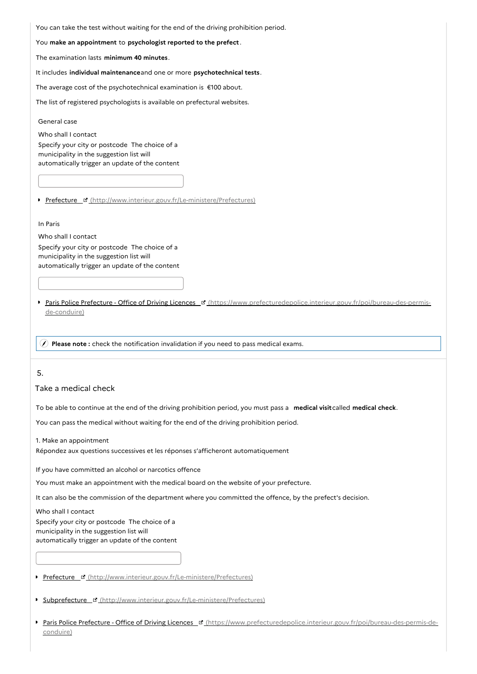You can take the test without waiting for the end of the driving prohibition period.

You **make an appointment** to **psychologist reported to the prefect** .

The examination lasts **minimum 40 minutes**.

It includes **individual maintenance**and one or more **psychotechnical tests**.

The average cost of the psychotechnical examination is €100 about.

The list of registered psychologists is available on prefectural websites.

General case

Who shall I contact Specify your city or postcode The choice of a municipality in the suggestion list will automatically trigger an update of the content

Prefecture ¤ [\(http://www.interieur.gouv.fr/Le-ministere/Prefectures\)](http://www.interieur.gouv.fr/Le-ministere/Prefectures)

#### In Paris

Who shall I contact

Specify your city or postcode The choice of a municipality in the suggestion list will automatically trigger an update of the content

Paris Police Prefecture - Office of Driving Licences [ Nttps://www.prefecturedepolice.interieur.gouv.fr/poi/bureau-des-permisde-conduire)

**Please note :** check the notification invalidation if you need to pass medical exams.

## 5.

Take a medical check

To be able to continue at the end of the driving prohibition period, you must pass a **medical visit**called **medical check**.

You can pass the medical without waiting for the end of the driving prohibition period.

1. Make an appointment

Répondez aux questions successives et les réponses s'afficheront automatiquement

If you have committed an alcohol or narcotics offence

You must make an appointment with the medical board on the website of your prefecture.

It can also be the commission of the department where you committed the offence, by the prefect's decision.

Who shall I contact

Specify your city or postcode The choice of a municipality in the suggestion list will automatically trigger an update of the content

Prefecture & [\(http://www.interieur.gouv.fr/Le-ministere/Prefectures\)](http://www.interieur.gouv.fr/Le-ministere/Prefectures)

Subprefecture [\(http://www.interieur.gouv.fr/Le-ministere/Prefectures\)](http://www.interieur.gouv.fr/Le-ministere/Prefectures)

Paris Police Prefecture - Office of Driving Licences " [\(https://www.prefecturedepolice.interieur.gouv.fr/poi/bureau-des-permis-de](https://www.prefecturedepolice.interieur.gouv.fr/poi/bureau-des-permis-de-conduire)conduire)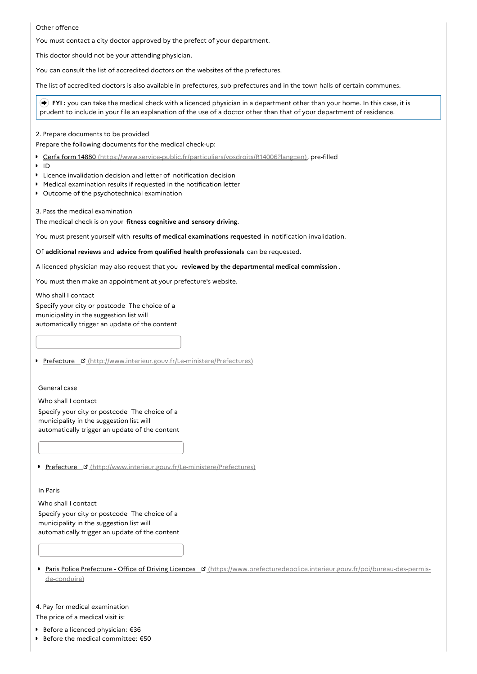#### Other offence

You must contact a city doctor approved by the prefect of your department.

This doctor should not be your attending physician.

You can consult the list of accredited doctors on the websites of the prefectures.

The list of accredited doctors is also available in prefectures, sub-prefectures and in the town halls of certain communes.

 **FYI :** you can take the medical check with a licenced physician in a department other than your home. In this case, it is prudent to include in your file an explanation of the use of a doctor other than that of your department of residence.

2. Prepare documents to be provided

Prepare the following documents for the medical check-up:

- Cerfa form 14880 [\(https://www.service-public.fr/particuliers/vosdroits/R14006?lang=en\)](https://www.service-public.fr/particuliers/vosdroits/R14006?lang=en), pre-filled
- ID
- Licence invalidation decision and letter of notification decision
- Medical examination results if requested in the notification letter
- **D** Outcome of the psychotechnical examination

3. Pass the medical examination

The medical check is on your **fitness cognitive and sensory driving**.

You must present yourself with **results of medical examinations requested** in notification invalidation.

Of **additional reviews** and **advice from qualified health professionals** can be requested.

A licenced physician may also request that you **reviewed by the departmental medical commission** .

You must then make an appointment at your prefecture's website.

Who shall I contact Specify your city or postcode The choice of a municipality in the suggestion list will automatically trigger an update of the content

Prefecture & [\(http://www.interieur.gouv.fr/Le-ministere/Prefectures\)](http://www.interieur.gouv.fr/Le-ministere/Prefectures)

General case

Who shall I contact

Specify your city or postcode The choice of a municipality in the suggestion list will automatically trigger an update of the content

Prefecture ¤ [\(http://www.interieur.gouv.fr/Le-ministere/Prefectures\)](http://www.interieur.gouv.fr/Le-ministere/Prefectures)

In Paris

Who shall I contact

Specify your city or postcode The choice of a municipality in the suggestion list will automatically trigger an update of the content

Paris Police Prefecture - Office of Driving Licences [ G [\(https://www.prefecturedepolice.interieur.gouv.fr/poi/bureau-des-permis](https://www.prefecturedepolice.interieur.gouv.fr/poi/bureau-des-permis-de-conduire)de-conduire)

4. Pay for medical examination

The price of a medical visit is:

- **■** Before a licenced physician: €36
- $\ddot{\phantom{a}}$ Before the medical committee: €50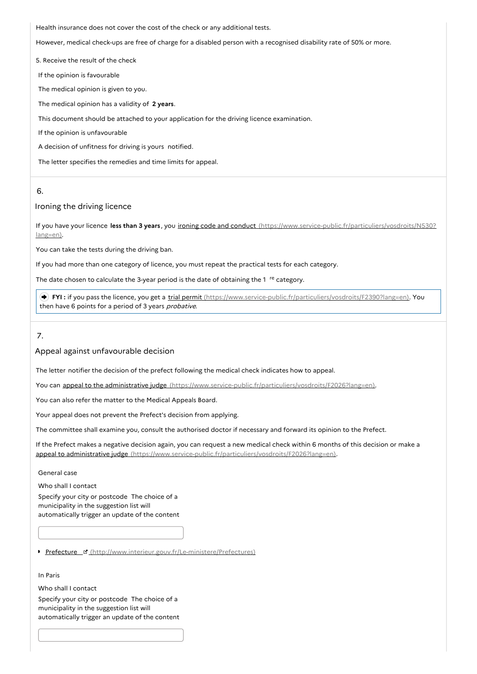Health insurance does not cover the cost of the check or any additional tests.

However, medical check-ups are free of charge for a disabled person with a recognised disability rate of 50% or more.

5. Receive the result of the check

If the opinion is favourable

The medical opinion is given to you.

The medical opinion has a validity of **2 years**.

This document should be attached to your application for the driving licence examination.

If the opinion is unfavourable

A decision of unfitness for driving is yours notified.

The letter specifies the remedies and time limits for appeal.

## 6.

## Ironing the driving licence

If you have your licence **less than 3 years** , you ironing code and conduct [\(https://www.service-public.fr/particuliers/vosdroits/N530?](https://www.service-public.fr/particuliers/vosdroits/N530?lang=en) lang=en).

You can take the tests during the driving ban.

If you had more than one category of licence, you must repeat the practical tests for each category.

The date chosen to calculate the 3-year period is the date of obtaining the 1 <sup>re</sup> category.

 **FYI :** if you pass the licence, you get a trial permit [\(https://www.service-public.fr/particuliers/vosdroits/F2390?lang=en\)](https://www.service-public.fr/particuliers/vosdroits/F2390?lang=en). You then have 6 points for a period of 3 years *probative*.

7.

#### Appeal against unfavourable decision

The letter notifier the decision of the prefect following the medical check indicates how to appeal.

You can appeal to the administrative judge [\(https://www.service-public.fr/particuliers/vosdroits/F2026?lang=en\)](https://www.service-public.fr/particuliers/vosdroits/F2026?lang=en).

You can also refer the matter to the Medical Appeals Board.

Your appeal does not prevent the Prefect's decision from applying.

The committee shall examine you, consult the authorised doctor if necessary and forward its opinion to the Prefect.

If the Prefect makes a negative decision again, you can request a new medical check within 6 months of this decision or make a appeal to administrative judge [\(https://www.service-public.fr/particuliers/vosdroits/F2026?lang=en\)](https://www.service-public.fr/particuliers/vosdroits/F2026?lang=en).

#### General case

Who shall I contact Specify your city or postcode The choice of a municipality in the suggestion list will automatically trigger an update of the content

Prefecture ¤ [\(http://www.interieur.gouv.fr/Le-ministere/Prefectures\)](http://www.interieur.gouv.fr/Le-ministere/Prefectures)

## In Paris

Who shall I contact

Specify your city or postcode The choice of a municipality in the suggestion list will automatically trigger an update of the content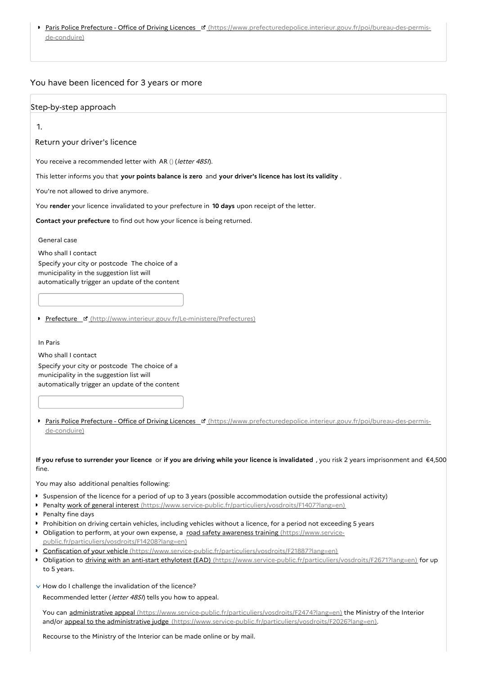Paris Police Prefecture - Office of Driving Licences [d] [\(https://www.prefecturedepolice.interieur.gouv.fr/poi/bureau-des-permis](https://www.prefecturedepolice.interieur.gouv.fr/poi/bureau-des-permis-de-conduire)de-conduire)

## You have been licenced for 3 years or more

#### Step-by-step approach

1.

Return your driver's licence

You receive a recommended letter with AR () (letter 48SI).

This letter informs you that **your points balance is zero** and **your driver's licence has lost its validity** .

You're not allowed to drive anymore.

You **render** your licence invalidated to your prefecture in **10 days** upon receipt of the letter.

**Contact your prefecture** to find out how your licence is being returned.

General case

Who shall I contact

Specify your city or postcode The choice of a municipality in the suggestion list will automatically trigger an update of the content

Prefecture ¤ [\(http://www.interieur.gouv.fr/Le-ministere/Prefectures\)](http://www.interieur.gouv.fr/Le-ministere/Prefectures)

In Paris

Who shall I contact

Specify your city or postcode The choice of a municipality in the suggestion list will automatically trigger an update of the content

Paris Police Prefecture - Office of Driving Licences [ " [\(https://www.prefecturedepolice.interieur.gouv.fr/poi/bureau-des-permis](https://www.prefecturedepolice.interieur.gouv.fr/poi/bureau-des-permis-de-conduire)de-conduire)

#### If you refuse to surrender your licence or if you are driving while your licence is invalidated, you risk 2 years imprisonment and €4,500 fine.

You may also additional penalties following:

- Suspension of the licence for a period of up to 3 years (possible accommodation outside the professional activity)
- Penalty work of general interest [\(https://www.service-public.fr/particuliers/vosdroits/F1407?lang=en\)](https://www.service-public.fr/particuliers/vosdroits/F1407?lang=en)
- Penalty fine days
- Prohibition on driving certain vehicles, including vehicles without a licence, for a period not exceeding 5 years
- Obligation to perform, at your own expense, a road safety awareness training (https://www.service[public.fr/particuliers/vosdroits/F14208?lang=en\)](https://www.service-public.fr/particuliers/vosdroits/F14208?lang=en)
- Confiscation of your vehicle [\(https://www.service-public.fr/particuliers/vosdroits/F21887?lang=en\)](https://www.service-public.fr/particuliers/vosdroits/F21887?lang=en)
- Obligation to driving with an anti-start ethylotest (EAD) [\(https://www.service-public.fr/particuliers/vosdroits/F2671?lang=en\)](https://www.service-public.fr/particuliers/vosdroits/F2671?lang=en) for up to 5 years.
- $\vee$  How do I challenge the invalidation of the licence?

Recommended letter (*letter 48SI*) tells you how to appeal.

You can administrative appeal [\(https://www.service-public.fr/particuliers/vosdroits/F2474?lang=en\)](https://www.service-public.fr/particuliers/vosdroits/F2474?lang=en) the Ministry of the Interior and/or appeal to the administrative judge [\(https://www.service-public.fr/particuliers/vosdroits/F2026?lang=en\)](https://www.service-public.fr/particuliers/vosdroits/F2026?lang=en).

Recourse to the Ministry of the Interior can be made online or by mail.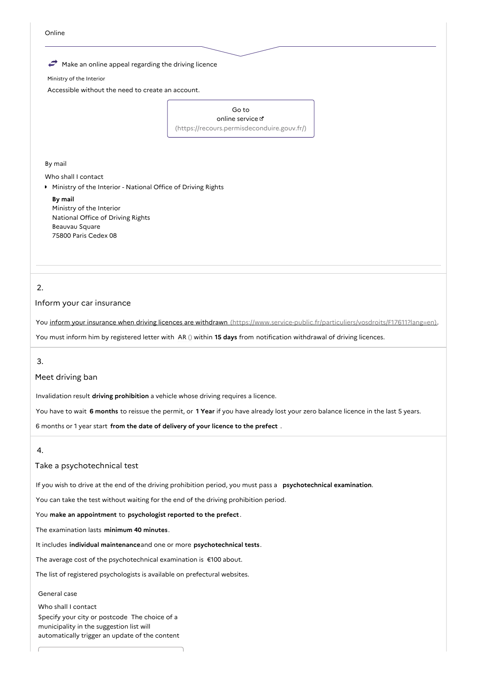

Ministry of the Interior

Accessible without the need to create an account.

Go to online service [\(https://recours.permisdeconduire.gouv.fr/\)](https://recours.permisdeconduire.gouv.fr/)

By mail

Who shall I contact

Ministry of the Interior - National Office of Driving Rights

**By mail** Ministry of the Interior National Office of Driving Rights Beauvau Square 75800 Paris Cedex 08

# 2.

#### Inform your car insurance

You inform your insurance when driving licences are withdrawn [\(https://www.service-public.fr/particuliers/vosdroits/F17611?lang=en\)](https://www.service-public.fr/particuliers/vosdroits/F17611?lang=en).

You must inform him by registered letter with AR () within **15 days** from notification withdrawal of driving licences.

3.

#### Meet driving ban

Invalidation result **driving prohibition** a vehicle whose driving requires a licence.

You have to wait **6 months** to reissue the permit, or **1 Year** if you have already lost your zero balance licence in the last 5 years.

6 months or 1 year start **from the date of delivery of your licence to the prefect** .

#### 4.

## Take a psychotechnical test

If you wish to drive at the end of the driving prohibition period, you must pass a **psychotechnical examination**.

You can take the test without waiting for the end of the driving prohibition period.

#### You **make an appointment** to **psychologist reported to the prefect** .

The examination lasts **minimum 40 minutes**.

It includes **individual maintenance**and one or more **psychotechnical tests**.

The average cost of the psychotechnical examination is €100 about.

The list of registered psychologists is available on prefectural websites.

#### General case

Who shall I contact Specify your city or postcode The choice of a municipality in the suggestion list will automatically trigger an update of the content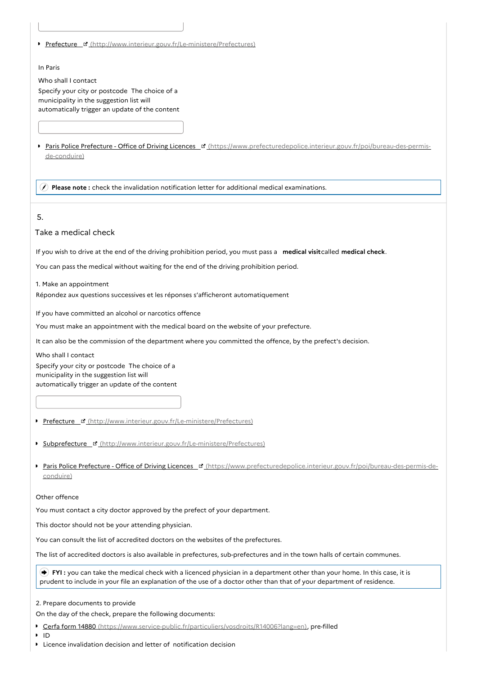Prefecture ¤ [\(http://www.interieur.gouv.fr/Le-ministere/Prefectures\)](http://www.interieur.gouv.fr/Le-ministere/Prefectures)

#### In Paris

Who shall I contact

Specify your city or postcode The choice of a municipality in the suggestion list will automatically trigger an update of the content

Paris Police Prefecture - Office of Driving Licences [ " [\(https://www.prefecturedepolice.interieur.gouv.fr/poi/bureau-des-permis](https://www.prefecturedepolice.interieur.gouv.fr/poi/bureau-des-permis-de-conduire)de-conduire)

**Please note :** check the invalidation notification letter for additional medical examinations.

## 5.

## Take a medical check

If you wish to drive at the end of the driving prohibition period, you must pass a **medical visit**called **medical check**.

You can pass the medical without waiting for the end of the driving prohibition period.

1. Make an appointment

Répondez aux questions successives et les réponses s'afficheront automatiquement

If you have committed an alcohol or narcotics offence

You must make an appointment with the medical board on the website of your prefecture.

It can also be the commission of the department where you committed the offence, by the prefect's decision.

Who shall I contact Specify your city or postcode The choice of a municipality in the suggestion list will automatically trigger an update of the content

- Prefecture & [\(http://www.interieur.gouv.fr/Le-ministere/Prefectures\)](http://www.interieur.gouv.fr/Le-ministere/Prefectures)
- Subprefecture [\(http://www.interieur.gouv.fr/Le-ministere/Prefectures\)](http://www.interieur.gouv.fr/Le-ministere/Prefectures)
- Paris Police Prefecture Office of Driving Licences <sup>e</sup> [\(https://www.prefecturedepolice.interieur.gouv.fr/poi/bureau-des-permis-de](https://www.prefecturedepolice.interieur.gouv.fr/poi/bureau-des-permis-de-conduire)conduire)

#### Other offence

You must contact a city doctor approved by the prefect of your department.

This doctor should not be your attending physician.

You can consult the list of accredited doctors on the websites of the prefectures.

The list of accredited doctors is also available in prefectures, sub-prefectures and in the town halls of certain communes.

 **FYI :** you can take the medical check with a licenced physician in a department other than your home. In this case, it is prudent to include in your file an explanation of the use of a doctor other than that of your department of residence.

2. Prepare documents to provide

On the day of the check, prepare the following documents:

- ▶ Cerfa form 14880 [\(https://www.service-public.fr/particuliers/vosdroits/R14006?lang=en\)](https://www.service-public.fr/particuliers/vosdroits/R14006?lang=en), pre-filled
- ID

Licence invalidation decision and letter of notification decision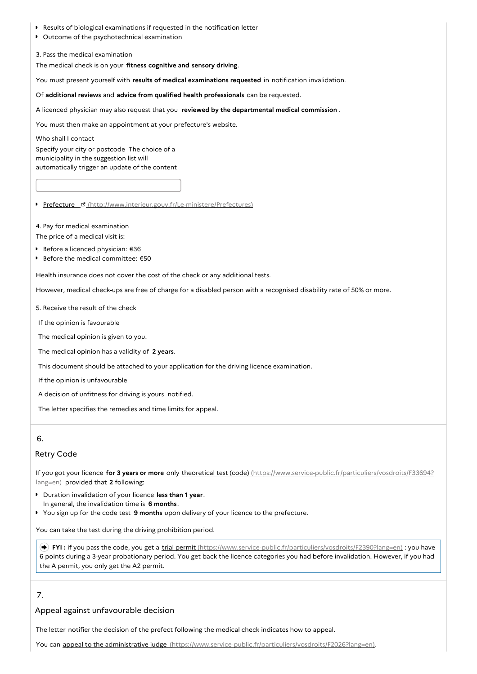- Results of biological examinations if requested in the notification letter
- **D** Outcome of the psychotechnical examination

3. Pass the medical examination

The medical check is on your **fitness cognitive and sensory driving**.

You must present yourself with **results of medical examinations requested** in notification invalidation.

Of **additional reviews** and **advice from qualified health professionals** can be requested.

A licenced physician may also request that you **reviewed by the departmental medical commission** .

You must then make an appointment at your prefecture's website.

Who shall I contact

Specify your city or postcode The choice of a municipality in the suggestion list will automatically trigger an update of the content

Prefecture & [\(http://www.interieur.gouv.fr/Le-ministere/Prefectures\)](http://www.interieur.gouv.fr/Le-ministere/Prefectures)

4. Pay for medical examination

The price of a medical visit is:

- Before a licenced physician: €36
- Before the medical committee: €50

Health insurance does not cover the cost of the check or any additional tests.

However, medical check-ups are free of charge for a disabled person with a recognised disability rate of 50% or more.

5. Receive the result of the check

If the opinion is favourable

The medical opinion is given to you.

The medical opinion has a validity of **2 years**.

This document should be attached to your application for the driving licence examination.

If the opinion is unfavourable

A decision of unfitness for driving is yours notified.

The letter specifies the remedies and time limits for appeal.

### 6.

## Retry Code

If you got your licence **for 3 years or more** only theoretical test (code) [\(https://www.service-public.fr/particuliers/vosdroits/F33694?](https://www.service-public.fr/particuliers/vosdroits/F33694?lang=en) lang=en) provided that **2** following:

- Duration invalidation of your licence **less than 1 year**. In general, the invalidation time is **6 months**.
- You sign up for the code test **9 months** upon delivery of your licence to the prefecture.

You can take the test during the driving prohibition period.

**→ FYI** : if you pass the code, you get a trial permit [\(https://www.service-public.fr/particuliers/vosdroits/F2390?lang=en\)](https://www.service-public.fr/particuliers/vosdroits/F2390?lang=en) : you have 6 points during a 3-year probationary period. You get back the licence categories you had before invalidation. However, if you had the A permit, you only get the A2 permit.

## 7.

Appeal against unfavourable decision

The letter notifier the decision of the prefect following the medical check indicates how to appeal.

You can appeal to the administrative judge [\(https://www.service-public.fr/particuliers/vosdroits/F2026?lang=en\)](https://www.service-public.fr/particuliers/vosdroits/F2026?lang=en).